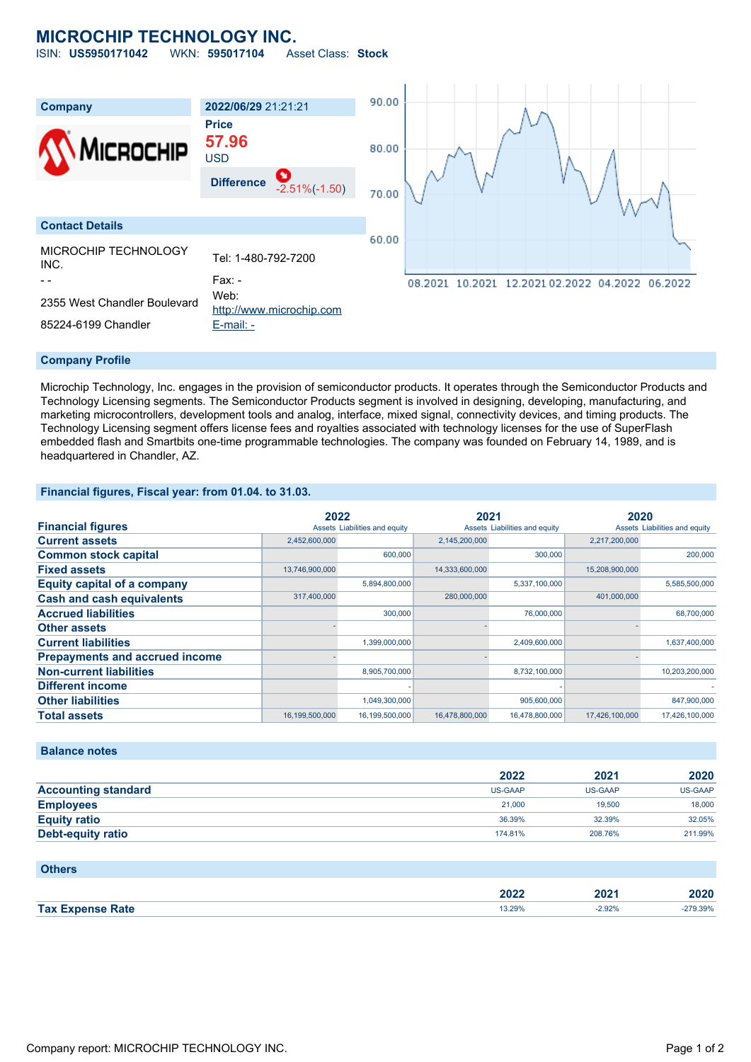## **MICROCHIP TECHNOLOGY INC.**

ISIN: **US5950171042** WKN: **595017104** Asset Class: **Stock**



#### **Company Profile**

Microchip Technology, Inc. engages in the provision of semiconductor products. It operates through the Semiconductor Products and Technology Licensing segments. The Semiconductor Products segment is involved in designing, developing, manufacturing, and marketing microcontrollers, development tools and analog, interface, mixed signal, connectivity devices, and timing products. The Technology Licensing segment offers license fees and royalties associated with technology licenses for the use of SuperFlash embedded flash and Smartbits one-time programmable technologies. The company was founded on February 14, 1989, and is headquartered in Chandler, AZ.

#### **Financial figures, Fiscal year: from 01.04. to 31.03.**

|                                       |                | 2022                          |                | 2021                          |                | 2020                          |  |
|---------------------------------------|----------------|-------------------------------|----------------|-------------------------------|----------------|-------------------------------|--|
| <b>Financial figures</b>              |                | Assets Liabilities and equity |                | Assets Liabilities and equity |                | Assets Liabilities and equity |  |
| <b>Current assets</b>                 | 2,452,600,000  |                               | 2,145,200,000  |                               | 2,217,200,000  |                               |  |
| <b>Common stock capital</b>           |                | 600,000                       |                | 300,000                       |                | 200,000                       |  |
| <b>Fixed assets</b>                   | 13,746,900,000 |                               | 14,333,600,000 |                               | 15,208,900,000 |                               |  |
| <b>Equity capital of a company</b>    |                | 5,894,800,000                 |                | 5,337,100,000                 |                | 5,585,500,000                 |  |
| <b>Cash and cash equivalents</b>      | 317,400,000    |                               | 280,000,000    |                               | 401,000,000    |                               |  |
| <b>Accrued liabilities</b>            |                | 300,000                       |                | 76,000,000                    |                | 68,700,000                    |  |
| <b>Other assets</b>                   |                |                               |                |                               |                |                               |  |
| <b>Current liabilities</b>            |                | 1,399,000,000                 |                | 2,409,600,000                 |                | 1,637,400,000                 |  |
| <b>Prepayments and accrued income</b> |                |                               |                |                               |                |                               |  |
| <b>Non-current liabilities</b>        |                | 8,905,700,000                 |                | 8,732,100,000                 |                | 10,203,200,000                |  |
| <b>Different income</b>               |                |                               |                |                               |                |                               |  |
| <b>Other liabilities</b>              |                | 1,049,300,000                 |                | 905,600,000                   |                | 847,900,000                   |  |
| <b>Total assets</b>                   | 16,199,500,000 | 16,199,500,000                | 16,478,800,000 | 16,478,800,000                | 17,426,100,000 | 17,426,100,000                |  |

#### **Balance notes**

|                            | 2022           | 2021           | 2020           |
|----------------------------|----------------|----------------|----------------|
| <b>Accounting standard</b> | <b>US-GAAP</b> | <b>US-GAAP</b> | <b>US-GAAP</b> |
| <b>Employees</b>           | 21,000         | 19,500         | 18,000         |
| <b>Equity ratio</b>        | 36.39%         | 32.39%         | 32.05%         |
| Debt-equity ratio          | 174.81%        | 208.76%        | 211.99%        |

#### **Others**

|                                     | 2022   | ⁄מחכ<br>40Z L | 2020  |
|-------------------------------------|--------|---------------|-------|
| <b>Tax</b><br>Rate<br><b>Vnanca</b> | 13.29% | .92%          | 1.39% |